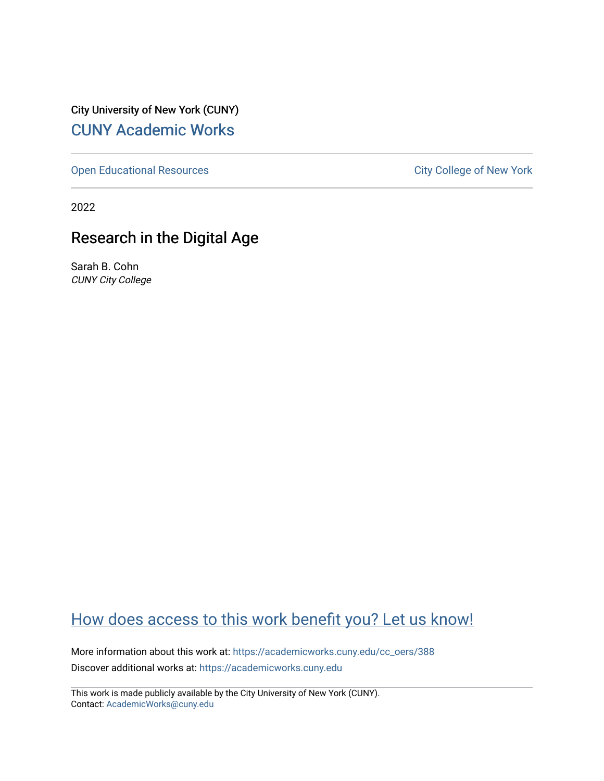City University of New York (CUNY) [CUNY Academic Works](https://academicworks.cuny.edu/) 

[Open Educational Resources](https://academicworks.cuny.edu/cc_oers) **City College of New York** 

2022

# Research in the Digital Age

Sarah B. Cohn CUNY City College

# [How does access to this work benefit you? Let us know!](http://ols.cuny.edu/academicworks/?ref=https://academicworks.cuny.edu/cc_oers/388)

More information about this work at: [https://academicworks.cuny.edu/cc\\_oers/388](https://academicworks.cuny.edu/cc_oers/388)  Discover additional works at: [https://academicworks.cuny.edu](https://academicworks.cuny.edu/?)

This work is made publicly available by the City University of New York (CUNY). Contact: [AcademicWorks@cuny.edu](mailto:AcademicWorks@cuny.edu)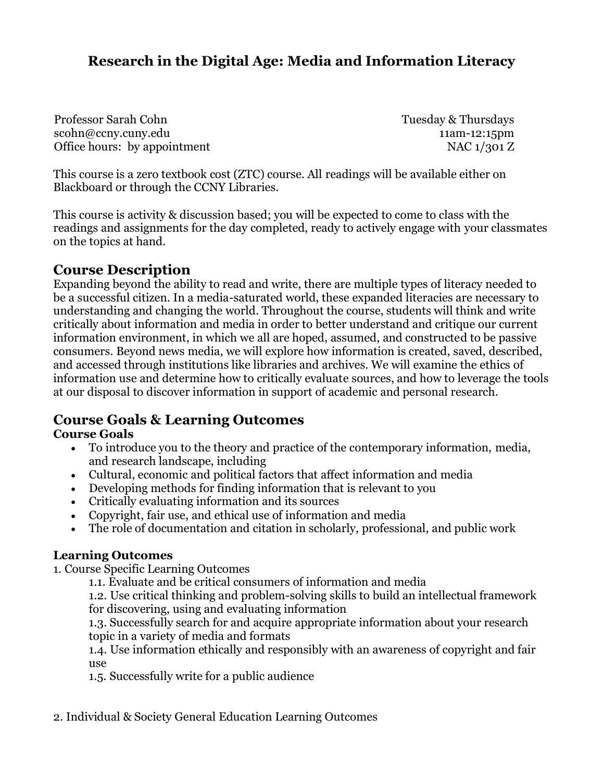# **Research in the Digital Age: Media and Information Literacy**

Professor Sarah Cohn scohn@ccny.cuny.edu Office hours: by appointment Tuesday & Thursdays 11am-12:15pm NAC 1/301 Z

This course is a zero textbook cost (ZTC) course. All readings will be available either on Blackboard or through the CCNY Libraries.

This course is activity & discussion based; you will be expected to come to class with the readings and assignments for the day completed, ready to actively engage with your classmates on the topics at hand.

## **Course Description**

Expanding beyond the ability to read and write, there are multiple types of literacy needed to be a successful citizen. In a media-saturated world, these expanded literacies are necessary to understanding and changing the world. Throughout the course, students will think and write critically about information and media in order to better understand and critique our current information environment, in which we all are hoped, assumed, and constructed to be passive consumers. Beyond news media, we will explore how information is created, saved, described, and accessed through institutions like libraries and archives. We will examine the ethics of information use and determine how to critically evaluate sources, and how to leverage the tools at our disposal to discover information in support of academic and personal research.

## **Course Goals & Learning Outcomes**

## **Course Goals**

- To introduce you to the theory and practice of the contemporary information, media, and research landscape, including
- Cultural, economic and political factors that affect information and media
- Developing methods for finding information that is relevant to you
- Critically evaluating information and its sources
- Copyright, fair use, and ethical use of information and media
- The role of documentation and citation in scholarly, professional, and public work

## **Learning Outcomes**

1. Course Specific Learning Outcomes

1.1. Evaluate and be critical consumers of information and media

1.2. Use critical thinking and problem-solving skills to build an intellectual framework for discovering, using and evaluating information

1.3. Successfully search for and acquire appropriate information about your research topic in a variety of media and formats

1.4. Use information ethically and responsibly with an awareness of copyright and fair use

1.5. Successfully write for a public audience

2. Individual & Society General Education Learning Outcomes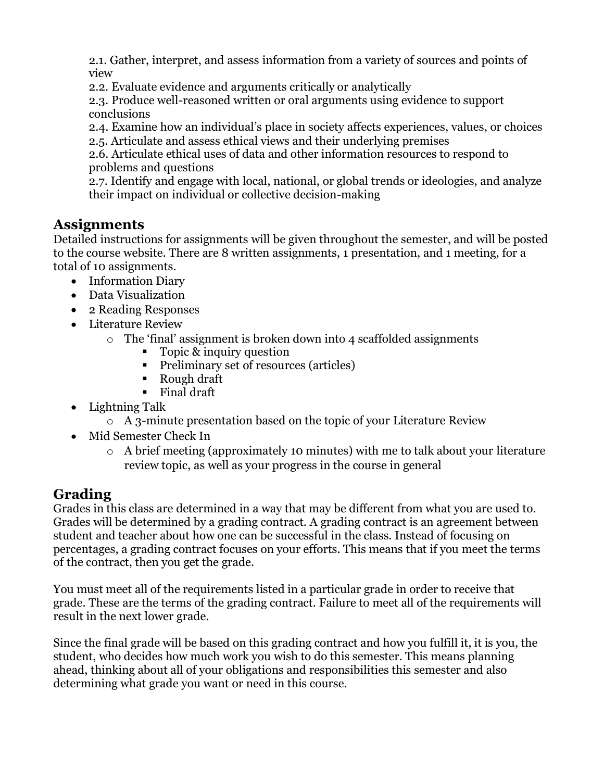2.1. Gather, interpret, and assess information from a variety of sources and points of view

2.2. Evaluate evidence and arguments critically or analytically

2.3. Produce well-reasoned written or oral arguments using evidence to support conclusions

2.4. Examine how an individual's place in society affects experiences, values, or choices 2.5. Articulate and assess ethical views and their underlying premises

2.6. Articulate ethical uses of data and other information resources to respond to problems and questions

2.7. Identify and engage with local, national, or global trends or ideologies, and analyze their impact on individual or collective decision-making

## **Assignments**

Detailed instructions for assignments will be given throughout the semester, and will be posted to the course website. There are 8 written assignments, 1 presentation, and 1 meeting, for a total of 10 assignments.

- Information Diary
- Data Visualization
- 2 Reading Responses
- Literature Review
	- o The 'final' assignment is broken down into 4 scaffolded assignments
		- Topic & inquiry question
		- Preliminary set of resources (articles)
		- Rough draft
		- Final draft
- Lightning Talk
	- o A 3-minute presentation based on the topic of your Literature Review
- Mid Semester Check In
	- o A brief meeting (approximately 10 minutes) with me to talk about your literature review topic, as well as your progress in the course in general

## **Grading**

Grades in this class are determined in a way that may be different from what you are used to. Grades will be determined by a grading contract. A grading contract is an agreement between student and teacher about how one can be successful in the class. Instead of focusing on percentages, a grading contract focuses on your efforts. This means that if you meet the terms of the contract, then you get the grade.

You must meet all of the requirements listed in a particular grade in order to receive that grade. These are the terms of the grading contract. Failure to meet all of the requirements will result in the next lower grade.

Since the final grade will be based on this grading contract and how you fulfill it, it is you, the student, who decides how much work you wish to do this semester. This means planning ahead, thinking about all of your obligations and responsibilities this semester and also determining what grade you want or need in this course.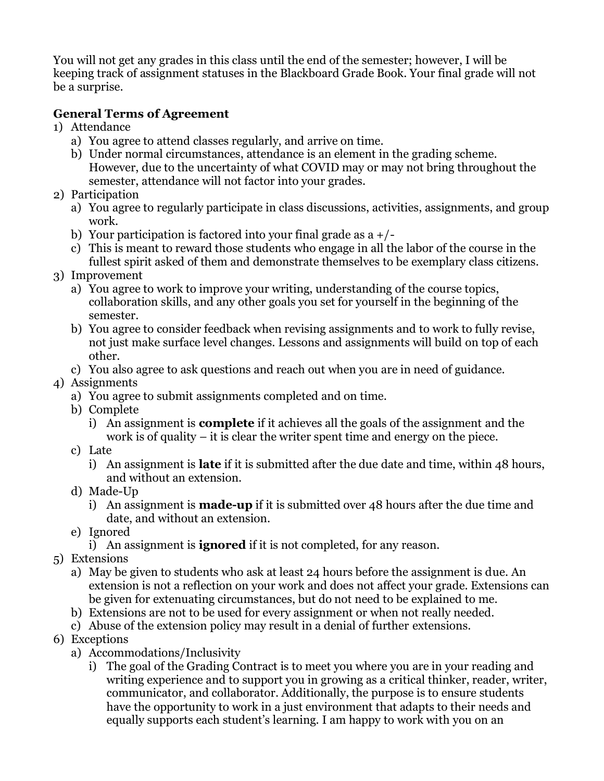You will not get any grades in this class until the end of the semester; however, I will be keeping track of assignment statuses in the Blackboard Grade Book. Your final grade will not be a surprise.

## **General Terms of Agreement**

- 1) Attendance
	- a) You agree to attend classes regularly, and arrive on time.
	- b) Under normal circumstances, attendance is an element in the grading scheme. However, due to the uncertainty of what COVID may or may not bring throughout the semester, attendance will not factor into your grades.
- 2) Participation
	- a) You agree to regularly participate in class discussions, activities, assignments, and group work.
	- b) Your participation is factored into your final grade as  $a^2$  +/-
	- c) This is meant to reward those students who engage in all the labor of the course in the fullest spirit asked of them and demonstrate themselves to be exemplary class citizens.
- 3) Improvement
	- a) You agree to work to improve your writing, understanding of the course topics, collaboration skills, and any other goals you set for yourself in the beginning of the semester.
	- b) You agree to consider feedback when revising assignments and to work to fully revise, not just make surface level changes. Lessons and assignments will build on top of each other.
	- c) You also agree to ask questions and reach out when you are in need of guidance.

## 4) Assignments

- a) You agree to submit assignments completed and on time.
- b) Complete
	- i) An assignment is **complete** if it achieves all the goals of the assignment and the work is of quality  $-$  it is clear the writer spent time and energy on the piece.
- c) Late
	- i) An assignment is **late** if it is submitted after the due date and time, within 48 hours, and without an extension.
- d) Made-Up
	- i) An assignment is **made-up** if it is submitted over 48 hours after the due time and date, and without an extension.
- e) Ignored
	- i) An assignment is **ignored** if it is not completed, for any reason.
- 5) Extensions
	- a) May be given to students who ask at least 24 hours before the assignment is due. An extension is not a reflection on your work and does not affect your grade. Extensions can be given for extenuating circumstances, but do not need to be explained to me.
	- b) Extensions are not to be used for every assignment or when not really needed.
	- c) Abuse of the extension policy may result in a denial of further extensions.
- 6) Exceptions
	- a) Accommodations/Inclusivity
		- i) The goal of the Grading Contract is to meet you where you are in your reading and writing experience and to support you in growing as a critical thinker, reader, writer, communicator, and collaborator. Additionally, the purpose is to ensure students have the opportunity to work in a just environment that adapts to their needs and equally supports each student's learning. I am happy to work with you on an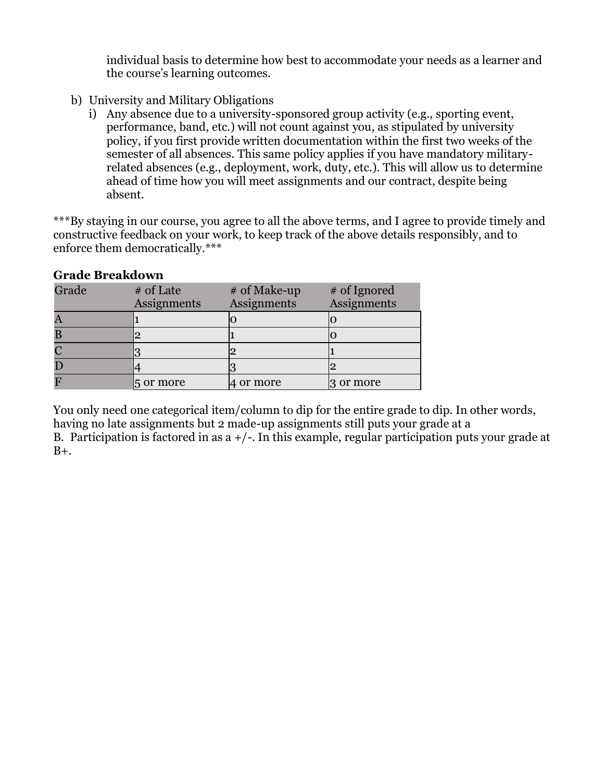individual basis to determine how best to accommodate your needs as a learner and the course's learning outcomes.

- b) University and Military Obligations
	- i) Any absence due to a university-sponsored group activity (e.g., sporting event, performance, band, etc.) will not count against you, as stipulated by university policy, if you first provide written documentation within the first two weeks of the semester of all absences. This same policy applies if you have mandatory militaryrelated absences (e.g., deployment, work, duty, etc.). This will allow us to determine ahead of time how you will meet assignments and our contract, despite being absent.

\*\*\*By staying in our course, you agree to all the above terms, and I agree to provide timely and constructive feedback on your work, to keep track of the above details responsibly, and to enforce them democratically.\*\*\*

## **Grade Breakdown**

| Grade | # of Late<br>Assignments | # of Make-up<br>Assignments | # of Ignored<br>Assignments |
|-------|--------------------------|-----------------------------|-----------------------------|
|       |                          |                             |                             |
|       |                          |                             |                             |
|       |                          |                             |                             |
| Г     |                          |                             |                             |
|       | 5 or more                | t or more                   | 3 or more                   |

You only need one categorical item/column to dip for the entire grade to dip. In other words, having no late assignments but 2 made-up assignments still puts your grade at a B. Participation is factored in as  $a + / -$ . In this example, regular participation puts your grade at  $B_{+}$ .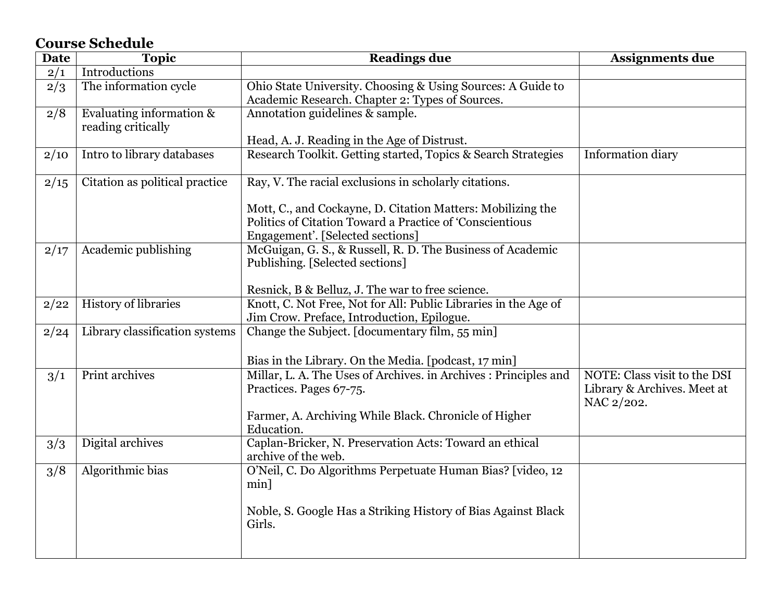# **Course Schedule**

| Date | <b>Topic</b>                   | <b>Readings due</b>                                                                                                     | <b>Assignments due</b>       |
|------|--------------------------------|-------------------------------------------------------------------------------------------------------------------------|------------------------------|
| 2/1  | Introductions                  |                                                                                                                         |                              |
| 2/3  | The information cycle          | Ohio State University. Choosing & Using Sources: A Guide to                                                             |                              |
|      |                                | Academic Research. Chapter 2: Types of Sources.                                                                         |                              |
| 2/8  | Evaluating information &       | Annotation guidelines & sample.                                                                                         |                              |
|      | reading critically             |                                                                                                                         |                              |
|      |                                | Head, A. J. Reading in the Age of Distrust.                                                                             |                              |
| 2/10 | Intro to library databases     | Research Toolkit. Getting started, Topics & Search Strategies                                                           | Information diary            |
|      |                                |                                                                                                                         |                              |
| 2/15 | Citation as political practice | Ray, V. The racial exclusions in scholarly citations.                                                                   |                              |
|      |                                |                                                                                                                         |                              |
|      |                                | Mott, C., and Cockayne, D. Citation Matters: Mobilizing the<br>Politics of Citation Toward a Practice of 'Conscientious |                              |
|      |                                |                                                                                                                         |                              |
|      |                                | Engagement'. [Selected sections]                                                                                        |                              |
| 2/17 | Academic publishing            | McGuigan, G. S., & Russell, R. D. The Business of Academic                                                              |                              |
|      |                                | Publishing. [Selected sections]                                                                                         |                              |
|      |                                |                                                                                                                         |                              |
|      |                                | Resnick, B & Belluz, J. The war to free science.                                                                        |                              |
| 2/22 | <b>History of libraries</b>    | Knott, C. Not Free, Not for All: Public Libraries in the Age of                                                         |                              |
|      |                                | Jim Crow. Preface, Introduction, Epilogue.                                                                              |                              |
| 2/24 | Library classification systems | Change the Subject. [documentary film, 55 min]                                                                          |                              |
|      |                                |                                                                                                                         |                              |
|      |                                | Bias in the Library. On the Media. [podcast, 17 min]                                                                    |                              |
| 3/1  | <b>Print archives</b>          | Millar, L. A. The Uses of Archives. in Archives : Principles and                                                        | NOTE: Class visit to the DSI |
|      |                                | Practices. Pages 67-75.                                                                                                 | Library & Archives. Meet at  |
|      |                                |                                                                                                                         | NAC 2/202.                   |
|      |                                | Farmer, A. Archiving While Black. Chronicle of Higher                                                                   |                              |
|      |                                | Education.                                                                                                              |                              |
| 3/3  | Digital archives               | Caplan-Bricker, N. Preservation Acts: Toward an ethical                                                                 |                              |
|      |                                | archive of the web.                                                                                                     |                              |
| 3/8  | Algorithmic bias               | O'Neil, C. Do Algorithms Perpetuate Human Bias? [video, 12                                                              |                              |
|      |                                | min]                                                                                                                    |                              |
|      |                                |                                                                                                                         |                              |
|      |                                | Noble, S. Google Has a Striking History of Bias Against Black                                                           |                              |
|      |                                | Girls.                                                                                                                  |                              |
|      |                                |                                                                                                                         |                              |
|      |                                |                                                                                                                         |                              |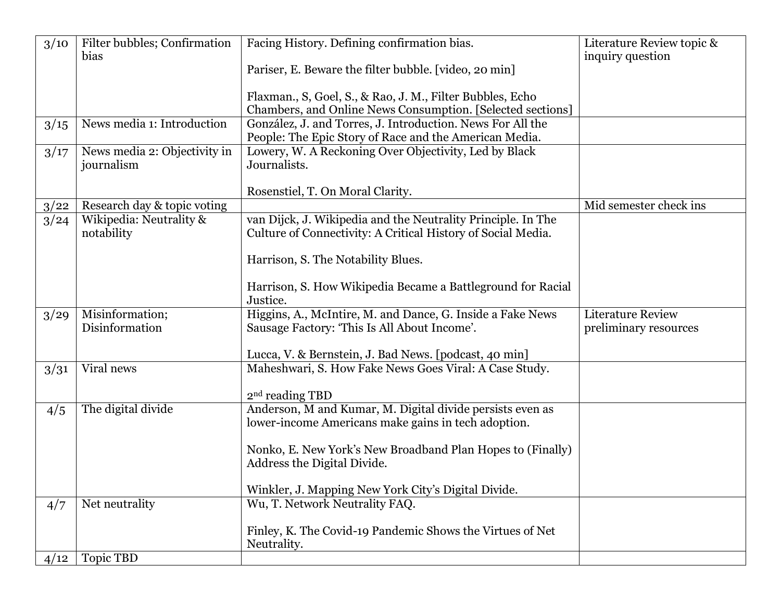| 3/10 | Filter bubbles; Confirmation<br>bias       | Facing History. Defining confirmation bias.                                                                                  | Literature Review topic &<br>inquiry question |
|------|--------------------------------------------|------------------------------------------------------------------------------------------------------------------------------|-----------------------------------------------|
|      |                                            | Pariser, E. Beware the filter bubble. [video, 20 min]                                                                        |                                               |
|      |                                            | Flaxman., S, Goel, S., & Rao, J. M., Filter Bubbles, Echo                                                                    |                                               |
|      |                                            | Chambers, and Online News Consumption. [Selected sections]                                                                   |                                               |
| 3/15 | News media 1: Introduction                 | González, J. and Torres, J. Introduction. News For All the<br>People: The Epic Story of Race and the American Media.         |                                               |
| 3/17 | News media 2: Objectivity in<br>journalism | Lowery, W. A Reckoning Over Objectivity, Led by Black<br>Journalists.                                                        |                                               |
|      |                                            | Rosenstiel, T. On Moral Clarity.                                                                                             |                                               |
| 3/22 | Research day & topic voting                |                                                                                                                              | Mid semester check ins                        |
| 3/24 | Wikipedia: Neutrality &<br>notability      | van Dijck, J. Wikipedia and the Neutrality Principle. In The<br>Culture of Connectivity: A Critical History of Social Media. |                                               |
|      |                                            | Harrison, S. The Notability Blues.                                                                                           |                                               |
|      |                                            | Harrison, S. How Wikipedia Became a Battleground for Racial<br>Justice.                                                      |                                               |
| 3/29 | Misinformation;                            | Higgins, A., McIntire, M. and Dance, G. Inside a Fake News                                                                   | <b>Literature Review</b>                      |
|      | Disinformation                             | Sausage Factory: 'This Is All About Income'.                                                                                 | preliminary resources                         |
|      |                                            |                                                                                                                              |                                               |
|      |                                            | Lucca, V. & Bernstein, J. Bad News. [podcast, 40 min]                                                                        |                                               |
| 3/31 | Viral news                                 | Maheshwari, S. How Fake News Goes Viral: A Case Study.                                                                       |                                               |
|      |                                            |                                                                                                                              |                                               |
|      |                                            | 2 <sup>nd</sup> reading TBD                                                                                                  |                                               |
| 4/5  | The digital divide                         | Anderson, M and Kumar, M. Digital divide persists even as                                                                    |                                               |
|      |                                            | lower-income Americans make gains in tech adoption.                                                                          |                                               |
|      |                                            |                                                                                                                              |                                               |
|      |                                            | Nonko, E. New York's New Broadband Plan Hopes to (Finally)                                                                   |                                               |
|      |                                            | Address the Digital Divide.                                                                                                  |                                               |
|      |                                            | Winkler, J. Mapping New York City's Digital Divide.                                                                          |                                               |
| 4/7  | Net neutrality                             | Wu, T. Network Neutrality FAQ.                                                                                               |                                               |
|      |                                            |                                                                                                                              |                                               |
|      |                                            | Finley, K. The Covid-19 Pandemic Shows the Virtues of Net                                                                    |                                               |
|      |                                            | Neutrality.                                                                                                                  |                                               |
| 4/12 | Topic TBD                                  |                                                                                                                              |                                               |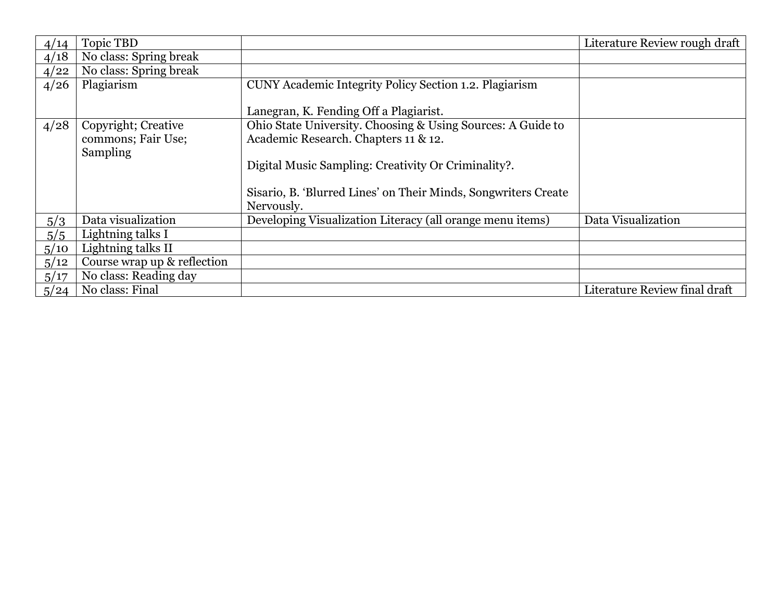| 4/14 | <b>Topic TBD</b>            |                                                                | Literature Review rough draft |
|------|-----------------------------|----------------------------------------------------------------|-------------------------------|
| 4/18 | No class: Spring break      |                                                                |                               |
| 4/22 | No class: Spring break      |                                                                |                               |
| 4/26 | Plagiarism                  | CUNY Academic Integrity Policy Section 1.2. Plagiarism         |                               |
|      |                             |                                                                |                               |
|      |                             | Lanegran, K. Fending Off a Plagiarist.                         |                               |
| 4/28 | Copyright; Creative         | Ohio State University. Choosing & Using Sources: A Guide to    |                               |
|      | commons; Fair Use;          | Academic Research. Chapters 11 & 12.                           |                               |
|      | Sampling                    |                                                                |                               |
|      |                             | Digital Music Sampling: Creativity Or Criminality?.            |                               |
|      |                             |                                                                |                               |
|      |                             | Sisario, B. 'Blurred Lines' on Their Minds, Songwriters Create |                               |
|      |                             | Nervously.                                                     |                               |
| 5/3  | Data visualization          | Developing Visualization Literacy (all orange menu items)      | Data Visualization            |
| 5/5  | Lightning talks I           |                                                                |                               |
| 5/10 | Lightning talks II          |                                                                |                               |
| 5/12 | Course wrap up & reflection |                                                                |                               |
| 5/17 | No class: Reading day       |                                                                |                               |
| 5/24 | No class: Final             |                                                                | Literature Review final draft |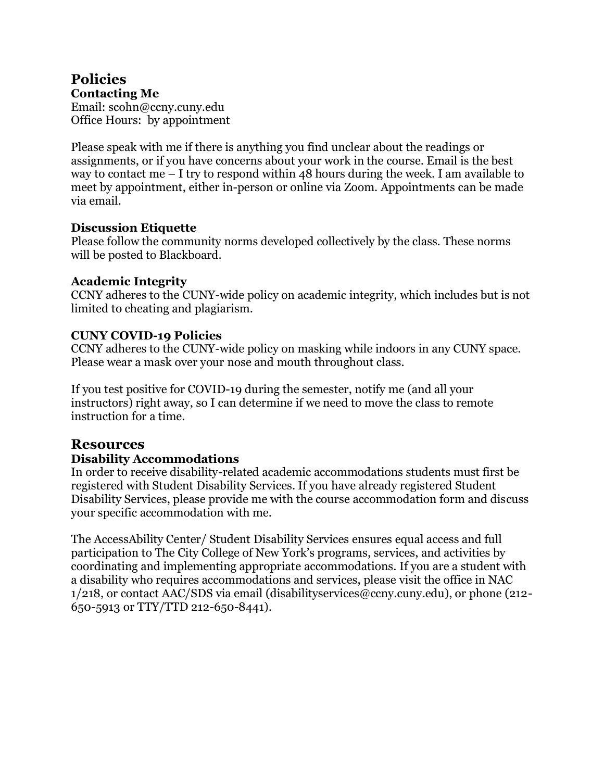#### **Policies Contacting Me**

Email: scohn@ccny.cuny.edu Office Hours: by appointment

Please speak with me if there is anything you find unclear about the readings or assignments, or if you have concerns about your work in the course. Email is the best way to contact me  $-1$  try to respond within 48 hours during the week. I am available to meet by appointment, either in-person or online via Zoom. Appointments can be made via email.

#### **Discussion Etiquette**

Please follow the community norms developed collectively by the class. These norms will be posted to Blackboard.

## **Academic Integrity**

CCNY adheres to the CUNY-wide policy on academic integrity, which includes but is not limited to cheating and plagiarism.

## **CUNY COVID-19 Policies**

CCNY adheres to the CUNY-wide policy on masking while indoors in any CUNY space. Please wear a mask over your nose and mouth throughout class.

If you test positive for COVID-19 during the semester, notify me (and all your instructors) right away, so I can determine if we need to move the class to remote instruction for a time.

## **Resources**

## **Disability Accommodations**

In order to receive disability-related academic accommodations students must first be registered with Student Disability Services. If you have already registered Student Disability Services, please provide me with the course accommodation form and discuss your specific accommodation with me.

The AccessAbility Center/ Student Disability Services ensures equal access and full participation to The City College of New York's programs, services, and activities by coordinating and implementing appropriate accommodations. If you are a student with a disability who requires accommodations and services, please visit the office in NAC 1/218, or contact AAC/SDS via email (disabilityservices@ccny.cuny.edu), or phone (212- 650-5913 or TTY/TTD 212-650-8441).